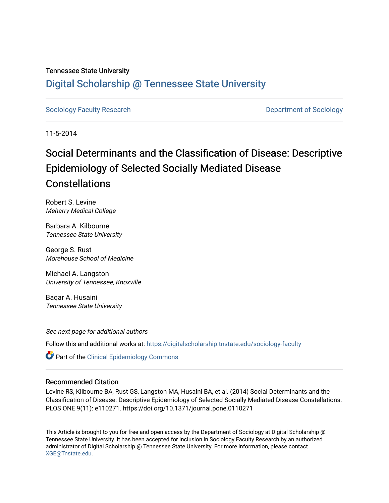## Tennessee State University

## [Digital Scholarship @ Tennessee State University](https://digitalscholarship.tnstate.edu/)

[Sociology Faculty Research](https://digitalscholarship.tnstate.edu/sociology-faculty) **Department of Sociology Department of Sociology** 

11-5-2014

# Social Determinants and the Classification of Disease: Descriptive Epidemiology of Selected Socially Mediated Disease **Constellations**

Robert S. Levine Meharry Medical College

Barbara A. Kilbourne Tennessee State University

George S. Rust Morehouse School of Medicine

Michael A. Langston University of Tennessee, Knoxville

Baqar A. Husaini Tennessee State University

See next page for additional authors

Follow this and additional works at: [https://digitalscholarship.tnstate.edu/sociology-faculty](https://digitalscholarship.tnstate.edu/sociology-faculty?utm_source=digitalscholarship.tnstate.edu%2Fsociology-faculty%2F7&utm_medium=PDF&utm_campaign=PDFCoverPages) 

**Part of the Clinical Epidemiology Commons** 

### Recommended Citation

Levine RS, Kilbourne BA, Rust GS, Langston MA, Husaini BA, et al. (2014) Social Determinants and the Classification of Disease: Descriptive Epidemiology of Selected Socially Mediated Disease Constellations. PLOS ONE 9(11): e110271. https://doi.org/10.1371/journal.pone.0110271

This Article is brought to you for free and open access by the Department of Sociology at Digital Scholarship @ Tennessee State University. It has been accepted for inclusion in Sociology Faculty Research by an authorized administrator of Digital Scholarship @ Tennessee State University. For more information, please contact [XGE@Tnstate.edu](mailto:XGE@Tnstate.edu).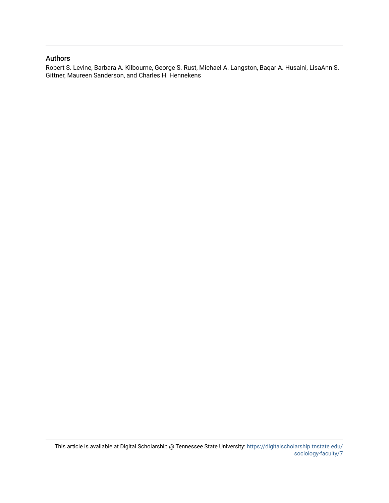## Authors

Robert S. Levine, Barbara A. Kilbourne, George S. Rust, Michael A. Langston, Baqar A. Husaini, LisaAnn S. Gittner, Maureen Sanderson, and Charles H. Hennekens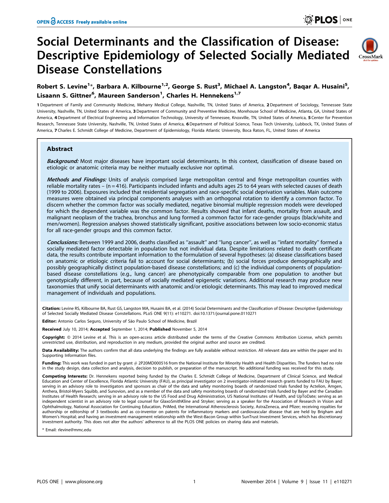## Social Determinants and the Classification of Disease: Descriptive Epidemiology of Selected Socially Mediated Disease Constellations



## Robert S. Levine<sup>1</sup>\*, Barbara A. Kilbourne<sup>1,2</sup>, George S. Rust<sup>3</sup>, Michael A. Langston<sup>4</sup>, Baqar A. Husaini<sup>5</sup>, Lisaann S. Gittner<sup>6</sup>, Maureen Sanderson<sup>1</sup>, Charles H. Hennekens<sup>1,7</sup>

1 Department of Family and Community Medicine, Meharry Medical College, Nashville, TN, United States of America, 2 Department of Sociology, Tennessee State University, Nashville, TN, United States of America, 3 Department of Community and Preventive Medicine, Morehouse School of Medicine, Atlanta, GA, United States of America, 4 Department of Electrical Engineering and Information Technology, University of Tennessee, Knoxville, TN, United States of America, 5 Center for Prevention Research, Tennessee State University, Nashville, TN, United States of America, 6 Department of Political Science, Texas Tech University, Lubbock, TX, United States of America, 7 Charles E. Schmidt College of Medicine, Department of Epidemiology, Florida Atlantic University, Boca Raton, FL, United States of America

#### **Abstract**

Background: Most major diseases have important social determinants. In this context, classification of disease based on etiologic or anatomic criteria may be neither mutually exclusive nor optimal.

Methods and Findings: Units of analysis comprised large metropolitan central and fringe metropolitan counties with reliable mortality rates – (n = 416). Participants included infants and adults ages 25 to 64 years with selected causes of death (1999 to 2006). Exposures included that residential segregation and race-specific social deprivation variables. Main outcome measures were obtained via principal components analyses with an orthogonal rotation to identify a common factor. To discern whether the common factor was socially mediated, negative binomial multiple regression models were developed for which the dependent variable was the common factor. Results showed that infant deaths, mortality from assault, and malignant neoplasm of the trachea, bronchus and lung formed a common factor for race-gender groups (black/white and men/women). Regression analyses showed statistically significant, positive associations between low socio-economic status for all race-gender groups and this common factor.

Conclusions: Between 1999 and 2006, deaths classified as "assault" and "lung cancer", as well as "infant mortality" formed a socially mediated factor detectable in population but not individual data. Despite limitations related to death certificate data, the results contribute important information to the formulation of several hypotheses: (a) disease classifications based on anatomic or etiologic criteria fail to account for social determinants; (b) social forces produce demographically and possibly geographically distinct population-based disease constellations; and (c) the individual components of populationbased disease constellations (e.g., lung cancer) are phenotypically comparable from one population to another but genotypically different, in part, because of socially mediated epigenetic variations. Additional research may produce new taxonomies that unify social determinants with anatomic and/or etiologic determinants. This may lead to improved medical management of individuals and populations.

Citation: Levine RS, Kilbourne BA, Rust GS, Langston MA, Husaini BA, et al. (2014) Social Determinants and the Classification of Disease: Descriptive Epidemiology of Selected Socially Mediated Disease Constellations. PLoS ONE 9(11): e110271. doi:10.1371/journal.pone.0110271

Editor: Antonio Carlos Seguro, University of São Paulo School of Medicine, Brazil

Received July 10, 2014; Accepted September 1, 2014; Published November 5, 2014

Copyright: © 2014 Levine et al. This is an open-access article distributed under the terms of the [Creative Commons Attribution License](http://creativecommons.org/licenses/by/4.0/), which permits unrestricted use, distribution, and reproduction in any medium, provided the original author and source are credited.

Data Availability: The authors confirm that all data underlying the findings are fully available without restriction. All relevant data are within the paper and its Supporting Information files.

Funding: This work was funded in part by grant # 2P20MD000516 from the National Institute for Minority Health and Health Disparities. The funders had no role in the study design, data collection and analysis, decision to publish, or preparation of the manuscript. No additional funding was received for this study.

Competing Interests: Dr. Hennekens reported being funded by the Charles E. Schmidt College of Medicine, Department of Clinical Science, and Medical Education and Center of Excellence, Florida Atlantic University (FAU), as principal investigator on 2 investigator-initiated research grants funded to FAU by Bayer; serving in an advisory role to investigators and sponsors as chair of the data and safety monitoring boards of randomized trials funded by Actelion, Amgen, Anthera, Bristol-Myers Squibb, and Sunovion, and as a member of the data and safety monitoring boards of randomized trials funded by Bayer and the Canadian Institutes of Health Research; serving in an advisory role to the US Food and Drug Administration, US National Institutes of Health, and UpToDate; serving as an independent scientist in an advisory role to legal counsel for GlaxoSmithKline and Stryker; serving as a speaker for the Association of Research in Vision and Ophthalmology, National Association for Continuing Education, PriMed, the International Atherosclerosis Society, AstraZeneca, and Pfizer; receiving royalties for authorship or editorship of 3 textbooks and as co-inventor on patents for inflammatory markers and cardiovascular disease that are held by Brigham and Women's Hospital; and having an investment-management relationship with the West-Bacon Group within SunTrust Investment Services, which has discretionary investment authority. This does not alter the authors' adherence to all the PLOS ONE policies on sharing data and materials.

\* Email: rlevine@mmc.edu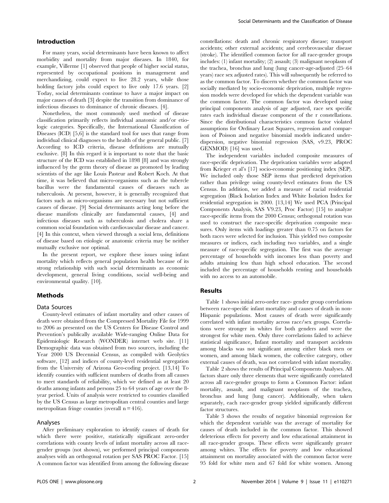#### Introduction

For many years, social determinants have been known to affect morbidity and mortality from major diseases. In 1840, for example, Villerme [1] observed that people of higher social status, represented by occupational positions in management and merchandizing, could expect to live 28.2 years, while those holding factory jobs could expect to live only 17.6 years. [2] Today, social determinants continue to have a major impact on major causes of death [3] despite the transition from dominance of infectious diseases to dominance of chronic diseases. [4].

Nonetheless, the most commonly used method of disease classification primarily reflects individual anatomic and/or etiologic categories. Specifically, the International Classification of Diseases (ICD) [5,6] is the standard tool for uses that range from individual clinical diagnoses to the health of the general public. [7] According to ICD criteria, disease definitions are mutually exclusive. [8] In this regard it is important to note that the basic structure of the ICD was established in 1898 [8] and was strongly influenced by the germ theory of disease as promoted by leading scientists of the age like Louis Pasteur and Robert Koch. At that time, it was believed that micro-organisms such as the tubercle bacillus were the fundamental causes of diseases such as tuberculosis. At present, however, it is generally recognized that factors such as micro-organisms are necessary but not sufficient causes of disease. [9] Social determinants acting long before the disease manifests clinically are fundamental causes, [4] and infectious diseases such as tuberculosis and cholera share a common social foundation with cardiovascular disease and cancer. [4] In this context, when viewed through a social lens, definitions of disease based on etiologic or anatomic criteria may be neither mutually exclusive nor optimal.

In the present report, we explore these issues using infant mortality which reflects general population health because of its strong relationship with such social determinants as economic development, general living conditions, social well-being and environmental quality. [10].

#### Methods

#### Data Sources

County-level estimates of infant mortality and other causes of death were obtained from the Compressed Mortality File for 1999 to 2006 as presented on the US Centers for Disease Control and Prevention's publically available Wide-ranging Online Data for Epidemiologic Research (WONDER) internet web site. [11] Demographic data was obtained from two sources, including the Year 2000 US Decennial Census, as compiled with Geolytics software, [12] and indices of county-level residential segregation from the University of Arizona Geo-coding project. [13,14] To identify counties with sufficient numbers of deaths from all causes to meet standards of reliability, which we defined as at least 20 deaths among infants and persons 25 to 64 years of age over the 8 year period. Units of analysis were restricted to counties classified by the US Census as large metropolitan central counties and large metropolitan fringe counties (overall  $n = 416$ ).

#### Analyses

After preliminary exploration to identify causes of death for which there were positive, statistically significant zero-order correlations with county levels of infant mortality across all racegender groups (not shown), we performed principal components analyses with an orthogonal rotation per SAS PROC Factor. [15] A common factor was identified from among the following disease constellations: death and chronic respiratory disease; transport accidents; other external accidents; and cerebrovascular disease (stroke). The identified common factor for all race-gender groups includes: (1) infant mortality; (2) assault; (3) malignant neoplasm of the trachea, bronchus and lung (lung cancer-age-adjusted (25–64 years) race sex adjusted rates). This will subsequently be referred to as the common factor. To discern whether the common factor was socially mediated by socio-economic deprivation, multiple regression models were developed for which the dependent variable was the common factor. The common factor was developed using principal components analysis of age adjusted, race sex specific rates each individual disease component of the r constellations. Since the distributional characteristics common factor violated assumptions for Ordinary Least Squares, regression and comparison of Poisson and negative binomial models indicated underdispersion, negative binomial regression (SAS, v9.23, PROC GENMOD) [16] was used.

The independent variables included composite measures of race-specific deprivation. The deprivation variables were adapted from Krieger et al's [17] socio-economic positioning index (SEP). We included only those SEP items that predicted deprivation rather than privilege using county-level estimates from the US Census. In addition, we added a measure of racial residential segregation (Black Isolation Index and White Isolation Index for residential segregation in 2000. [13,14] We used PCA (Principal Components Analysis, SAS V9.23, Proc Factor) [15] to analyze race-specific items from the 2000 Census; orthogonal rotation was used to construct the race-specific deprivation composite measures. Only items with loadings greater than 0.75 on factors for both races were selected for inclusion. This yielded two composite measures or indices, each including two variables, and a single measure of race-specific segregation. The first was the average percentage of households with incomes less than poverty and adults attaining less than high school education. The second included the percentage of households renting and households with no access to an automobile.

#### Results

Table 1 shows initial zero-order race- gender group correlations between race-specific infant mortality and causes of death in non-Hispanic populations. Most causes of death were significantly correlated with infant mortality across race/sex groups. Correlations were stronger in whites for both genders and were the strongest for white men. Only three correlations failed to achieve statistical significance, Infant mortality and transport accidents among blacks was not significant among either black men or women, and among black women, the collective category, other external causes of death, was not correlated with infant mortality.

Table 2 shows the results of Principal Components Analyses. All factors share only three elements that were significantly correlated across all race-gender groups to form a Common Factor: infant mortality, assault, and malignant neoplasm of the trachea, bronchus and lung (lung cancer). Additionally, when taken separately, each race-gender group yielded significantly different factor structures.

Table 3 shows the results of negative binomial regression for which the dependent variable was the average of mortality for causes of death included in the common factor. This showed deleterious effects for poverty and low educational attainment in all race-gender groups. These effects were significantly greater among whites. The effects for poverty and low educational attainment on mortality associated with the common factor were 95 fold for white men and 67 fold for white women. Among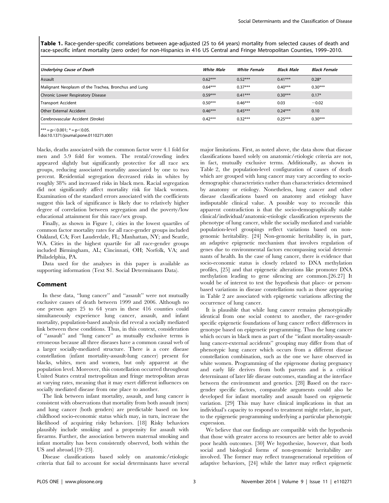Table 1. Race-gender-specific correlations between age-adjusted (25 to 64 years) mortality from selected causes of death and race-specific infant mortality (zero order) for non-Hispanics in 416 US Central and Fringe Metropolitan Counties, 1999–2010.

| <b>Underlying Cause of Death</b>                     | <b>White Male</b> | <b>White Female</b> | <b>Black Male</b> | <b>Black Female</b> |
|------------------------------------------------------|-------------------|---------------------|-------------------|---------------------|
| Assault                                              | $0.62***$         | $0.52***$           | $0.41***$         | $0.28*$             |
| Malignant Neoplasm of the Trachea, Bronchus and Lung | $0.64***$         | $0.37***$           | $0.40***$         | $0.30***$           |
| Chronic Lower Respiratory Disease                    | $0.59***$         | $0.41***$           | $0.30***$         | $0.17*$             |
| <b>Transport Accident</b>                            | $0.50***$         | $0.46***$           | 0.03              | $-0.02$             |
| <b>Other External Accident</b>                       | $0.46***$         | $0.45***$           | $0.24***$         | 0.10                |
| Cerebrovascular Accident (Stroke)                    | $0.42***$         | $0.32***$           | $0.25***$         | $0.30***$           |
|                                                      |                   |                     |                   |                     |

 $*** = p<0.001$ ;  $*= p<0.05$ . doi:10.1371/journal.pone.0110271.t001

blacks, deaths associated with the common factor were 4.1 fold for men and 5.9 fold for women. The rental/crowding index appeared slightly but significantly protective for all race sex groups, reducing associated mortality associated by one to two percent. Residential segregation decreased risks in whites by roughly 38% and increased risks in black men. Racial segregation did not significantly affect mortality risk for black women. Examination of the standard errors associated with the coefficients suggest this lack of significance is likely due to relatively higher degree of correlation between segregation and the poverty/low educational attainment for this race/sex group.

Finally, as shown in Figure 1, cities in the lowest quartiles of common factor mortality rates for all race-gender groups included Oakland, CA; Fort Lauderdale, FL; Manhattan, NY; and Seattle, WA. Cities in the highest quartile for all race-gender groups included Birmingham, AL; Cincinnati, OH; Norfolk, VA; and Philadelphia, PA.

Data used for the analyses in this paper is available as supporting information (Text S1. Social Determinants Data).

#### Comment

In these data, ''lung cancer'' and ''assault'' were not mutually exclusive causes of death between 1999 and 2006. Although no one person ages 25 to 64 years in these 416 counties could simultaneously experience lung cancer, assault, and infant mortality, population-based analysis did reveal a socially mediated link between these conditions. Thus, in this context, consideration of ''assault'' and ''lung cancer'' as mutually exclusive terms is erroneous because all three diseases have a common causal web of a larger socially-mediated structure. There is a core disease constellation (infant mortality-assault-lung cancer) present for blacks, whites, men and women, but only apparent at the population level. Moreover, this constellation occurred throughout United States central metropolitan and fringe metropolitan areas at varying rates, meaning that it may exert different influences on socially mediated disease from one place to another.

The link between infant mortality, assault, and lung cancer is consistent with observations that mortality from both assault (men) and lung cancer (both genders) are predictable based on low childhood socio-economic status which may, in turn, increase the likelihood of acquiring risky behaviors. [18] Risky behaviors plausibly include smoking and a propensity for assault with firearms. Further, the association between maternal smoking and infant mortality has been consistently observed, both within the US and abroad.[19–23].

Disease classifications based solely on anatomic/etiologic criteria that fail to account for social determinants have several major limitations. First, as noted above, the data show that disease classifications based solely on anatomic/etiologic criteria are not, in fact, mutually exclusive terms. Additionally, as shown in Table 2, the population-level configuration of causes of death which are grouped with lung cancer may vary according to sociodemographic characteristics rather than characteristics determined by anatomy or etiology. Nonetheless, lung cancer and other disease classifications based on anatomy and etiology have indisputable clinical value. A possible way to reconcile this apparent contradiction is that the socio-demographically stable clinical/individual/anatomic-etiologic classification represents the phenotype of lung cancer, while the socially mediated and variable population-level groupings reflect variations based on nongenomic heritability. [24] Non-genomic heritability is, in part, an adaptive epigenetic mechanism that involves regulation of genes due to environmental factors encompassing social determinants of health. In the case of lung cancer, there is evidence that socio-economic status is closely related to DNA methylation profiles, [25] and that epigenetic alterations like promoter DNA methylation leading to gene silencing are common.[26.27] It would be of interest to test the hypothesis that place- or personbased variations in disease constellations such as those appearing in Table 2 are associated with epigenetic variations affecting the occurrence of lung cancer.

It is plausible that while lung cancer remains phenotypically identical from one social context to another, the race-gender specific epigenetic foundations of lung cancer reflect differences in genotype based on epigenetic programming. Thus the lung cancer which occurs in black men as part of the ''infant mortality-assaultlung cancer-external accidents'' grouping may differ from that of phenotypic lung cancer which occurs from a different disease constellation combination, such as the one we have observed in white women. Programming of the epigenome during pregnancy and early life derives from both parents and is a critical determinant of later life disease outcomes, standing at the interface between the environment and genetics. [28] Based on the racegender specific factors, comparable arguments could also be developed for infant mortality and assault based on epigenetic variation. [29] This may have clinical implications in that an individual's capacity to respond to treatment might relate, in part, to the epigenetic programming underlying a particular phenotypic expression.

We believe that our findings are compatible with the hypothesis that those with greater access to resources are better able to avoid poor health outcomes. [30] We hypothesize, however, that both social and biological forms of non-genomic heritability are involved. The former may reflect transgenerational repetition of adaptive behaviors, [24] while the latter may reflect epigenetic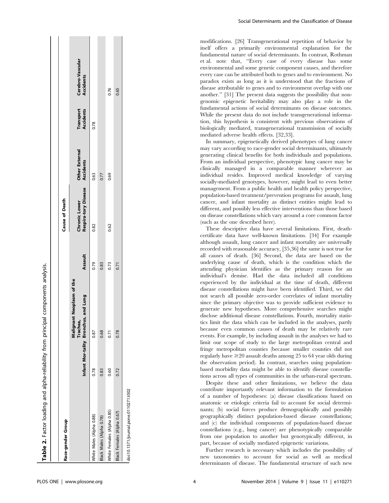| Table 2. Factor loading and alpha-reliability from principal components analysis. |      |                                                  |         |                                       |                                    |                               |                                      |
|-----------------------------------------------------------------------------------|------|--------------------------------------------------|---------|---------------------------------------|------------------------------------|-------------------------------|--------------------------------------|
|                                                                                   |      |                                                  |         |                                       |                                    |                               |                                      |
| Race-gender Group                                                                 |      |                                                  |         | Cause of Death                        |                                    |                               |                                      |
|                                                                                   |      | Malignant Neoplasm of the                        |         |                                       |                                    |                               |                                      |
|                                                                                   |      | Infant Mor-tality Bronchus, and Lung<br>frachea, | Assault | Respira-tory Disease<br>Chronic Lower | Other External<br><b>Accidents</b> | Transport<br><b>Accidents</b> | Cerebro-Vascular<br><b>Accidents</b> |
| White Males (Alpha 0.88)                                                          | 0.78 | 0.87                                             | 0.79    | 0.82                                  | 0.63                               | 0.78                          |                                      |
| Black Males (Alpha 0.78)                                                          | 0.83 | 0.68                                             | 0.83    |                                       | 0.77                               |                               |                                      |
| White Females (Alpha 0.85)                                                        | 0.60 | 0.71                                             | 0.73    | 0.62                                  | 0.69                               |                               | 0.76                                 |
| Black Females (Alpha 0.67)                                                        | 0.72 | 0.78                                             | 0.71    |                                       |                                    |                               | 0.65                                 |
| doi:10.1371/journal.pone.0110271.t002                                             |      |                                                  |         |                                       |                                    |                               |                                      |

modifications. [26] Transgenerational repetition of behavior by itself offers a primarily environmental explanation for the fundamental nature of social determinants. In contrast, Rothman et al. note that, ''Every case of every disease has some environmental and some genetic component causes, and therefore every case can be attributed both to genes and to environment. No paradox exists as long as it is understood that the fractions of disease attributable to genes and to environment overlap with one another.'' [31] The present data suggests the possibility that nongenomic epigenetic heritability may also play a role in the fundamental actions of social determinants on disease outcomes. While the present data do not include transgenerational information, this hypothesis is consistent with previous observations of biologically mediated, transgenerational transmission of socially mediated adverse health effects. [32,33].

In summary, epigenetically derived phenotypes of lung cancer may vary according to race-gender social determinants, ultimately generating clinical benefits for both individuals and populations. From an individual perspective, phenotypic lung cancer may be clinically managed in a comparable manner wherever an individual resides. Improved medical knowledge of varying socially-mediated genotypes, however, might lead to even better management. From a public health and health policy perspective, population-based treatment/prevention programs for assault, lung cancer, and infant mortality as distinct entities might lead to different, and possibly less effective interventions than those based on disease constellations which vary around a core common factor (such as the one described here).

These descriptive data have several limitations. First, deathcertificate data have well-known limitations. [34] For example although assault, lung cancer and infant mortality are universally recorded with reasonable accuracy, [35,36] the same is not true for all causes of death. [36] Second, the data are based on the underlying cause of death, which is the condition which the attending physician identifies as the primary reason for an individual's demise. Had the data included all conditions experienced by the individual at the time of death, different disease constellations might have been identified. Third, we did not search all possible zero-order correlates of infant mortality since the primary objective was to provide sufficient evidence to generate new hypotheses. More comprehensive searches might disclose additional disease constellations. Fourth, mortality statistics limit the data which can be included in the analyses, partly because even common causes of death may be relatively rare events. For example, by including assault in the analyses we had to limit our scope of study to the large metropolitan central and fringe metropolitan counties (because smaller counties did not regularly have  $\geq$ 20 assault deaths among 25 to 64 year olds during the observation period). In contrast, searches using populationbased morbidity data might be able to identify disease constellations across all types of communities in the urban-rural spectrum.

Despite these and other limitations, we believe the data contribute importantly relevant information to the formulation of a number of hypotheses: (a) disease classifications based on anatomic or etiologic criteria fail to account for social determinants; (b) social forces produce demographically and possibly geographically distinct population-based disease constellations; and (c) the individual components of population-based disease constellations (e.g., lung cancer) are phenotypically comparable from one population to another but genotypically different, in part, because of socially mediated epigenetic variations.

Further research is necessary which includes the possibility of new taxonomies to account for social as well as medical determinants of disease. The fundamental structure of such new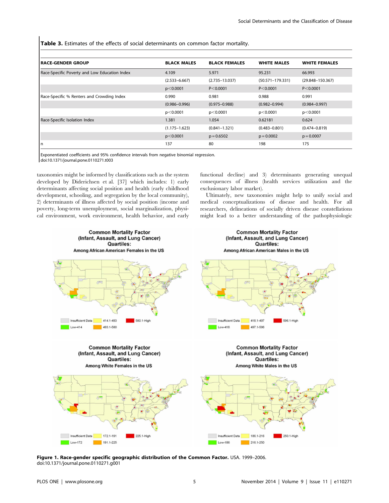Table 3. Estimates of the effects of social determinants on common factor mortality.

| RACE-GENDER GROUP                             | <b>BLACK MALES</b> | <b>BLACK FEMALES</b> | <b>WHITE MALES</b>   | <b>WHITE FEMALES</b> |
|-----------------------------------------------|--------------------|----------------------|----------------------|----------------------|
| Race-Specific Poverty and Low Education Index | 4.109              | 5.971                | 95.231               | 66.993               |
|                                               | $(2.533 - 6.667)$  | $(2.735 - 13.037)$   | $(50.571 - 179.331)$ | $(29.848 - 150.367)$ |
|                                               | p < 0.0001         | P < 0.0001           | P < 0.0001           | P < 0.0001           |
| Race-Specific % Renters and Crowding Index    | 0.990              | 0.981                | 0.988                | 0.991                |
|                                               | $(0.986 - 0.996)$  | $(0.975 - 0.988)$    | $(0.982 - 0.994)$    | $(0.984 - 0.997)$    |
|                                               | p < 0.0001         | p<0.0001             | p<0.0001             | p<0.0001             |
| Race-Specific Isolation Index                 | 1.381              | 1.054                | 0.62181              | 0.624                |
|                                               | $(1.175 - 1.623)$  | $(0.841 - 1.321)$    | $(0.483 - 0.801)$    | $(0.474 - 0.819)$    |
|                                               | p < 0.0001         | $p = 0.6502$         | $p = 0.0002$         | $p = 0.0007$         |
| l n                                           | 137                | 80                   | 198                  | 175                  |

Exponentiated coefficients and 95% confidence intervals from negative binomial regression. doi:10.1371/journal.pone.0110271.t003

taxonomies might be informed by classifications such as the system developed by Diderichsen et al. [37] which includes: 1) early determinants affecting social position and health (early childhood development, schooling, and segregation by the local community), 2) determinants of illness affected by social position (income and poverty, long-term unemployment, social marginalization, physical environment, work environment, health behavior, and early functional decline) and 3) determinants generating unequal consequences of illness (health services utilization and the exclusionary labor market).

Ultimately, new taxonomies might help to unify social and medical conceptualizations of disease and health. For all researchers, delineations of socially driven disease constellations might lead to a better understanding of the pathophysiologic



Figure 1. Race-gender specific geographic distribution of the Common Factor. USA. 1999–2006. doi:10.1371/journal.pone.0110271.g001